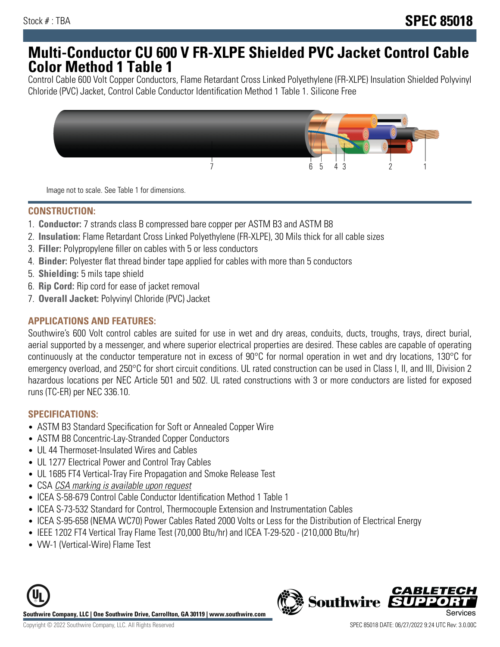# **Multi-Conductor CU 600 V FR-XLPE Shielded PVC Jacket Control Cable Color Method 1 Table 1**

Control Cable 600 Volt Copper Conductors, Flame Retardant Cross Linked Polyethylene (FR-XLPE) Insulation Shielded Polyvinyl Chloride (PVC) Jacket, Control Cable Conductor Identification Method 1 Table 1. Silicone Free



Image not to scale. See Table 1 for dimensions.

# **CONSTRUCTION:**

- 1. **Conductor:** 7 strands class B compressed bare copper per ASTM B3 and ASTM B8
- 2. **Insulation:** Flame Retardant Cross Linked Polyethylene (FR-XLPE), 30 Mils thick for all cable sizes
- 3. **Filler:** Polypropylene filler on cables with 5 or less conductors
- 4. **Binder:** Polyester flat thread binder tape applied for cables with more than 5 conductors
- 5. **Shielding:** 5 mils tape shield
- 6. **Rip Cord:** Rip cord for ease of jacket removal
- 7. **Overall Jacket:** Polyvinyl Chloride (PVC) Jacket

#### **APPLICATIONS AND FEATURES:**

Southwire's 600 Volt control cables are suited for use in wet and dry areas, conduits, ducts, troughs, trays, direct burial, aerial supported by a messenger, and where superior electrical properties are desired. These cables are capable of operating continuously at the conductor temperature not in excess of 90°C for normal operation in wet and dry locations, 130°C for emergency overload, and 250°C for short circuit conditions. UL rated construction can be used in Class I, II, and III, Division 2 hazardous locations per NEC Article 501 and 502. UL rated constructions with 3 or more conductors are listed for exposed runs (TC-ER) per NEC 336.10.

## **SPECIFICATIONS:**

- ASTM B3 Standard Specification for Soft or Annealed Copper Wire
- ASTM B8 Concentric-Lay-Stranded Copper Conductors
- UL 44 Thermoset-Insulated Wires and Cables
- UL 1277 Electrical Power and Control Tray Cables
- UL 1685 FT4 Vertical-Tray Fire Propagation and Smoke Release Test
- CSA CSA marking is available upon request
- ICEA S-58-679 Control Cable Conductor Identification Method 1 Table 1
- ICEA S-73-532 Standard for Control, Thermocouple Extension and Instrumentation Cables
- ICEA S-95-658 (NEMA WC70) Power Cables Rated 2000 Volts or Less for the Distribution of Electrical Energy
- IEEE 1202 FT4 Vertical Tray Flame Test (70,000 Btu/hr) and ICEA T-29-520 (210,000 Btu/hr)
- VW-1 (Vertical-Wire) Flame Test



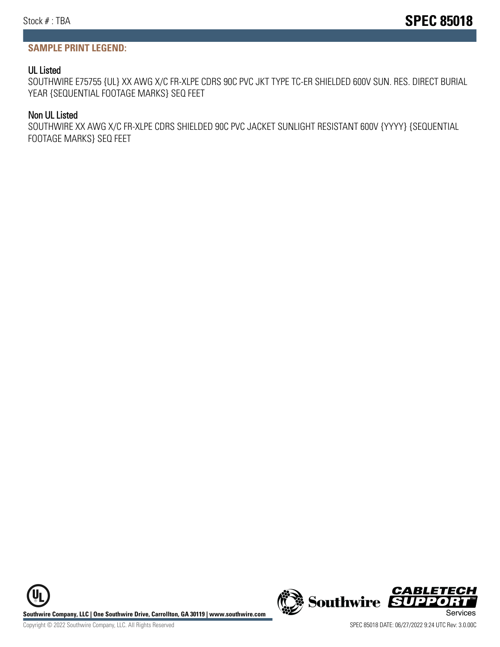## **SAMPLE PRINT LEGEND:**

#### UL Listed

SOUTHWIRE E75755 {UL} XX AWG X/C FR-XLPE CDRS 90C PVC JKT TYPE TC-ER SHIELDED 600V SUN. RES. DIRECT BURIAL YEAR {SEQUENTIAL FOOTAGE MARKS} SEQ FEET

#### Non UL Listed

SOUTHWIRE XX AWG X/C FR-XLPE CDRS SHIELDED 90C PVC JACKET SUNLIGHT RESISTANT 600V {YYYY} {SEQUENTIAL FOOTAGE MARKS} SEQ FEET